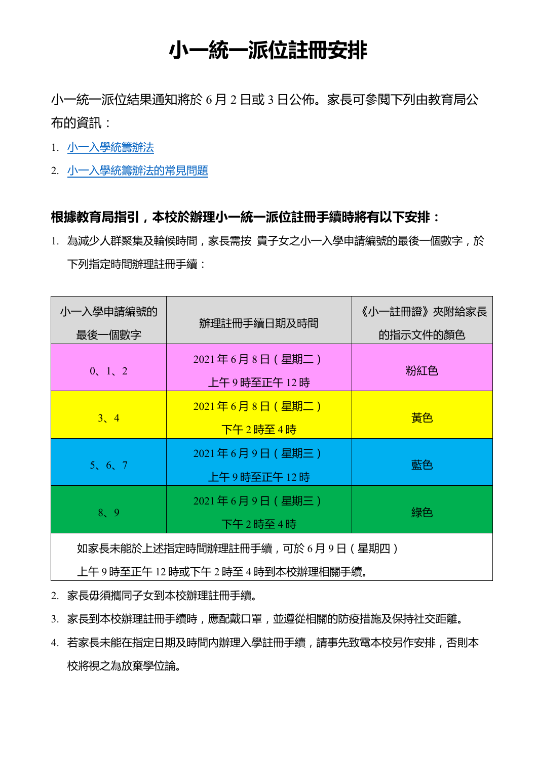## **小一統一派位註冊安排**

小一統一派位結果通知將於 6 月 2 日或 3 日公佈。家長可參閱下列由教育局公 布的資訊:

- 1. 小一入學統籌辦法
- 2. 小一入學統籌辦法的常見問題

## **根據教育局指引,本校於辦理小一統一派位註冊手續時將有以下安排:**

1. 為減少人群聚集及輪候時間,家長需按 貴子女之小一入學申請編號的最後一個數字,於 下列指定時間辦理註冊手續:

| 小一入學申請編號的                      | 辦理註冊手續日期及時間                         | 《小一註冊證》夾附給家長 |  |
|--------------------------------|-------------------------------------|--------------|--|
| 最後一個數字                         |                                     | 的指示文件的顏色     |  |
| 0, 1, 2                        | 2021年6月8日(星期二)<br>上午9時至正午12時        | 粉紅色          |  |
| 3, 4                           | $2021$ 年6月8日(星期二)<br><u>下午2時至4時</u> | 黃色           |  |
| 5, 6, 7                        | 2021年6月9日(星期三)<br>上午9時至正午12時        | 藍色           |  |
| 8, 9                           | 2021年6月9日(星期三)<br>下午2時至4時           | 綠色           |  |
| 如家長未能於上述指定時間辦理註冊手續,可於6月9日(星期四) |                                     |              |  |

上午 9 時至正午 12 時或下午 2 時至 4 時到本校辦理相關手續。

2. 家長毋須攜同子女到本校辦理註冊手續。

3. 家長到本校辦理註冊手續時,應配戴口罩,並遵從相關的防疫措施及保持社交距離。

4. 若家長未能在指定日期及時間内辦理入學註冊手續,請事先致電本校另作安排,否則本 校將視之為放棄學位論。